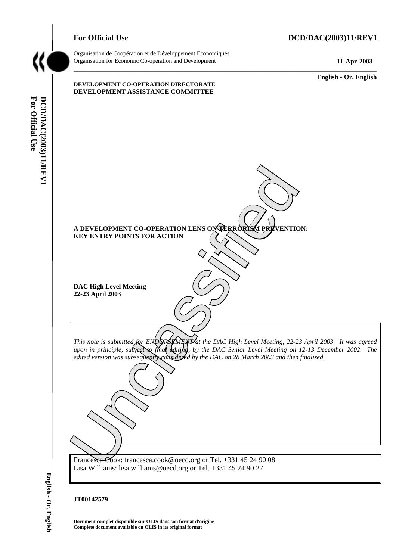#### For Official Use DCD/DAC(2003)11/REV1

**For Official Use** 

DCD/DAC(2003)11/REV1

For Official Use

Organisation de Coopération et de Développement Economiques Organisation for Economic Co-operation and Development **11-Apr-2003** 

\_\_\_\_\_\_\_\_\_\_\_\_\_\_\_\_\_\_\_\_\_\_\_\_\_\_\_\_\_\_\_\_\_\_\_\_\_\_\_\_\_\_\_\_\_\_\_\_\_\_\_\_\_\_\_\_\_\_\_\_\_\_\_\_\_\_\_\_\_\_\_\_\_\_\_\_\_\_\_\_\_\_\_\_\_\_\_\_\_\_\_

**English - Or. English** 

# A DEVELOPMENT CO-OPERATION LENS ON TROUBED PRIVIEW POLYESTIC<br>
REY ENTRY POINTS FOR ACTION<br>
DAC High Level Meeting<br>  $22-23$  April 2003<br>
This note is submitted by ENORGEN and DAC High Level Meeting 22-2<br>
upin in principle, **DEVELOPMENT CO-OPERATION DIRECTORATE DEVELOPMENT ASSISTANCE COMMITTEE**  A DEVELOPMENT CO-OPERATION LENS ON TERRORISM PREVENTION: **KEY ENTRY POINTS FOR ACTION DAC High Level Meeting 22-23 April 2003**  *This note is submitted for ENDORSEMENT at the DAC High Level Meeting, 22-23 April 2003. It was agreed upon in principle, subject to final editing, by the DAC Senior Level Meeting on 12-13 December 2002. The edited version was subsequently considered by the DAC on 28 March 2003 and then finalised.*  Francesca Cook: francesca.cook@oecd.org or Tel. +331 45 24 90 08 Lisa Williams: lisa.williams@oecd.org or Tel. +331 45 24 90 27 **JT00142579**

**DCD/DAC(2003)11/REV1 English - Or. English** English - Or. English

**Document complet disponible sur OLIS dans son format d'origine** 

**Complete document available on OLIS in its original format**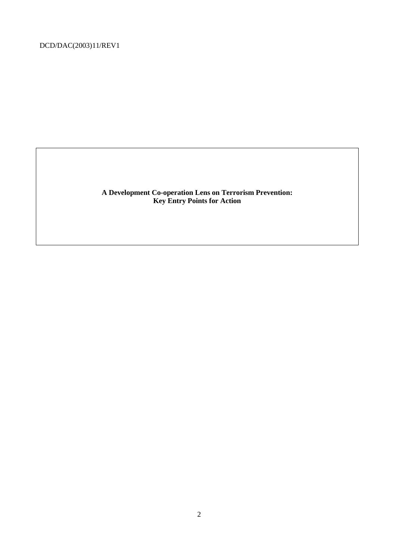#### **A Development Co-operation Lens on Terrorism Prevention: Key Entry Points for Action**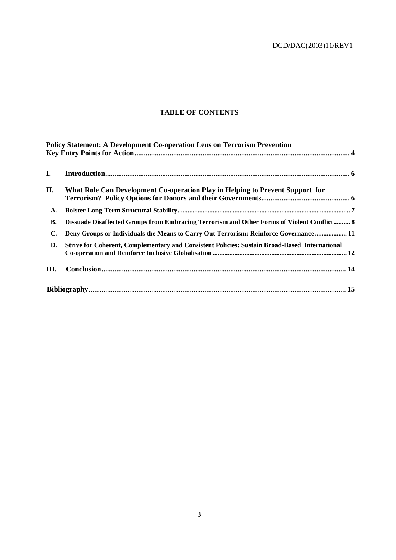### **TABLE OF CONTENTS**

| <b>Policy Statement: A Development Co-operation Lens on Terrorism Prevention</b> |                                                                                               |
|----------------------------------------------------------------------------------|-----------------------------------------------------------------------------------------------|
| I.                                                                               |                                                                                               |
| II.                                                                              | What Role Can Development Co-operation Play in Helping to Prevent Support for                 |
| A.                                                                               |                                                                                               |
| В.                                                                               | Dissuade Disaffected Groups from Embracing Terrorism and Other Forms of Violent Conflict 8    |
| C.                                                                               | Deny Groups or Individuals the Means to Carry Out Terrorism: Reinforce Governance  11         |
| D.                                                                               | Strive for Coherent, Complementary and Consistent Policies: Sustain Broad-Based International |
| Ш.                                                                               |                                                                                               |
|                                                                                  |                                                                                               |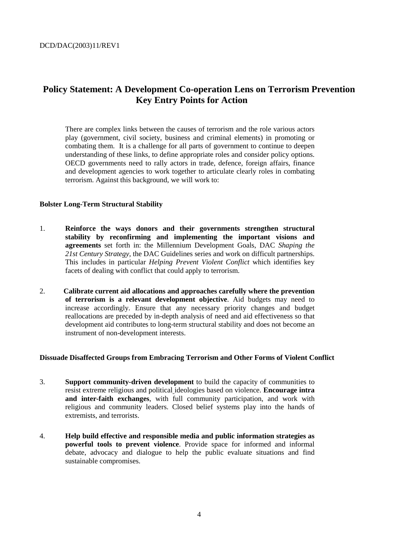# **Policy Statement: A Development Co-operation Lens on Terrorism Prevention Key Entry Points for Action**

There are complex links between the causes of terrorism and the role various actors play (government, civil society, business and criminal elements) in promoting or combating them. It is a challenge for all parts of government to continue to deepen understanding of these links, to define appropriate roles and consider policy options. OECD governments need to rally actors in trade, defence, foreign affairs, finance and development agencies to work together to articulate clearly roles in combating terrorism. Against this background, we will work to:

#### **Bolster Long-Term Structural Stability**

- 1. **Reinforce the ways donors and their governments strengthen structural stability by reconfirming and implementing the important visions and agreements** set forth in: the Millennium Development Goals, DAC *Shaping the 21st Century Strategy*, the DAC Guidelines series and work on difficult partnerships. This includes in particular *Helping Prevent Violent Conflict* which identifies key facets of dealing with conflict that could apply to terrorism.
- 2. **Calibrate current aid allocations and approaches carefully where the prevention of terrorism is a relevant development objective**. Aid budgets may need to increase accordingly. Ensure that any necessary priority changes and budget reallocations are preceded by in-depth analysis of need and aid effectiveness so that development aid contributes to long-term structural stability and does not become an instrument of non-development interests.

#### **Dissuade Disaffected Groups from Embracing Terrorism and Other Forms of Violent Conflict**

- 3. **Support community-driven development** to build the capacity of communities to resist extreme religious and political ideologies based on violence. **Encourage intra and inter-faith exchanges**, with full community participation, and work with religious and community leaders. Closed belief systems play into the hands of extremists, and terrorists.
- 4. **Help build effective and responsible media and public information strategies as powerful tools to prevent violence**. Provide space for informed and informal debate, advocacy and dialogue to help the public evaluate situations and find sustainable compromises.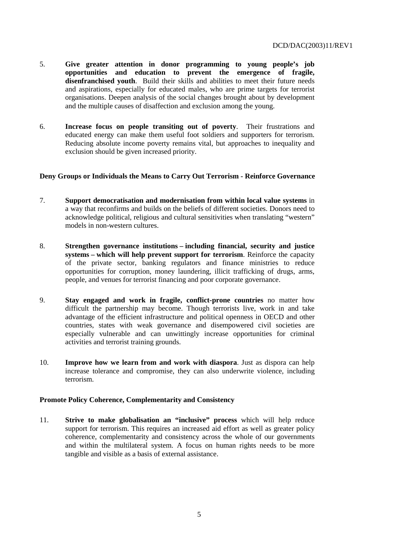- 5. **Give greater attention in donor programming to young people's job opportunities and education to prevent the emergence of fragile, disenfranchised youth**.Build their skills and abilities to meet their future needs and aspirations, especially for educated males, who are prime targets for terrorist organisations. Deepen analysis of the social changes brought about by development and the multiple causes of disaffection and exclusion among the young.
- 6. **Increase focus on people transiting out of poverty**. Their frustrations and educated energy can make them useful foot soldiers and supporters for terrorism. Reducing absolute income poverty remains vital, but approaches to inequality and exclusion should be given increased priority.

#### **Deny Groups or Individuals the Means to Carry Out Terrorism - Reinforce Governance**

- 7. **Support democratisation and modernisation from within local value systems** in a way that reconfirms and builds on the beliefs of different societies. Donors need to acknowledge political, religious and cultural sensitivities when translating "western" models in non-western cultures.
- 8. **Strengthen governance institutions including financial, security and justice systems – which will help prevent support for terrorism**. Reinforce the capacity of the private sector, banking regulators and finance ministries to reduce opportunities for corruption, money laundering, illicit trafficking of drugs, arms, people, and venues for terrorist financing and poor corporate governance.
- 9. **Stay engaged and work in fragile, conflict-prone countries** no matter how difficult the partnership may become. Though terrorists live, work in and take advantage of the efficient infrastructure and political openness in OECD and other countries, states with weak governance and disempowered civil societies are especially vulnerable and can unwittingly increase opportunities for criminal activities and terrorist training grounds.
- 10. **Improve how we learn from and work with diaspora**. Just as dispora can help increase tolerance and compromise, they can also underwrite violence, including terrorism.

#### **Promote Policy Coherence, Complementarity and Consistency**

11. **Strive to make globalisation an "inclusive" process** which will help reduce support for terrorism. This requires an increased aid effort as well as greater policy coherence, complementarity and consistency across the whole of our governments and within the multilateral system. A focus on human rights needs to be more tangible and visible as a basis of external assistance.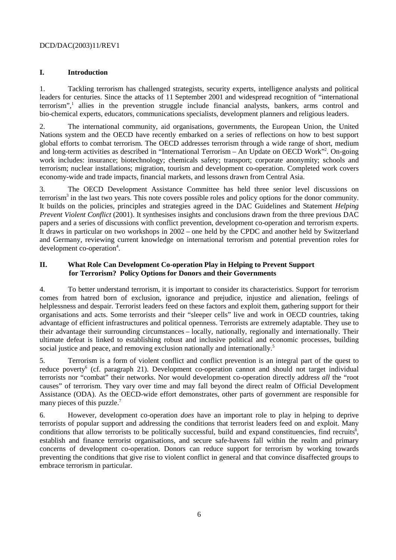#### **I. Introduction**

1. Tackling terrorism has challenged strategists, security experts, intelligence analysts and political leaders for centuries. Since the attacks of 11 September 2001 and widespread recognition of "international terrorism",<sup>1</sup> allies in the prevention struggle include financial analysts, bankers, arms control and bio-chemical experts, educators, communications specialists, development planners and religious leaders.

2. The international community, aid organisations, governments, the European Union, the United Nations system and the OECD have recently embarked on a series of reflections on how to best support global efforts to combat terrorism. The OECD addresses terrorism through a wide range of short, medium and long-term activities as described in "International Terrorism – An Update on OECD Work"2 . On-going work includes: insurance; biotechnology; chemicals safety; transport; corporate anonymity; schools and terrorism; nuclear installations; migration, tourism and development co-operation. Completed work covers economy-wide and trade impacts, financial markets, and lessons drawn from Central Asia.

3. The OECD Development Assistance Committee has held three senior level discussions on terrorism<sup>3</sup> in the last two years. This note covers possible roles and policy options for the donor community. It builds on the policies, principles and strategies agreed in the DAC Guidelines and Statement *Helping Prevent Violent Conflict* (2001). It synthesises insights and conclusions drawn from the three previous DAC papers and a series of discussions with conflict prevention, development co-operation and terrorism experts. It draws in particular on two workshops in 2002 – one held by the CPDC and another held by Switzerland and Germany, reviewing current knowledge on international terrorism and potential prevention roles for development co-operation<sup>4</sup>.

#### **II. What Role Can Development Co-operation Play in Helping to Prevent Support for Terrorism? Policy Options for Donors and their Governments**

4. To better understand terrorism, it is important to consider its characteristics. Support for terrorism comes from hatred born of exclusion, ignorance and prejudice, injustice and alienation, feelings of helplessness and despair. Terrorist leaders feed on these factors and exploit them, gathering support for their organisations and acts. Some terrorists and their "sleeper cells" live and work in OECD countries, taking advantage of efficient infrastructures and political openness. Terrorists are extremely adaptable. They use to their advantage their surrounding circumstances – locally, nationally, regionally and internationally. Their ultimate defeat is linked to establishing robust and inclusive political and economic processes, building social justice and peace, and removing exclusion nationally and internationally.<sup>5</sup>

5. Terrorism is a form of violent conflict and conflict prevention is an integral part of the quest to reduce poverty<sup>6</sup> (cf. paragraph 21). Development co-operation cannot and should not target individual terrorists nor "combat" their networks. Nor would development co-operation directly address *all* the "root causes" of terrorism. They vary over time and may fall beyond the direct realm of Official Development Assistance (ODA). As the OECD-wide effort demonstrates, other parts of government are responsible for many pieces of this puzzle.<sup>7</sup>

6. However, development co-operation *does* have an important role to play in helping to deprive terrorists of popular support and addressing the conditions that terrorist leaders feed on and exploit. Many conditions that allow terrorists to be politically successful, build and expand constituencies, find recruits<sup>8</sup>, establish and finance terrorist organisations, and secure safe-havens fall within the realm and primary concerns of development co-operation. Donors can reduce support for terrorism by working towards preventing the conditions that give rise to violent conflict in general and that convince disaffected groups to embrace terrorism in particular.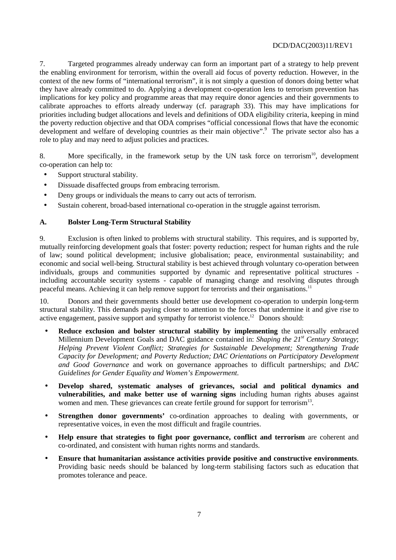7. Targeted programmes already underway can form an important part of a strategy to help prevent the enabling environment for terrorism, within the overall aid focus of poverty reduction. However, in the context of the new forms of "international terrorism", it is not simply a question of donors doing better what they have already committed to do. Applying a development co-operation lens to terrorism prevention has implications for key policy and programme areas that may require donor agencies and their governments to calibrate approaches to efforts already underway (cf. paragraph 33). This may have implications for priorities including budget allocations and levels and definitions of ODA eligibility criteria, keeping in mind the poverty reduction objective and that ODA comprises "official concessional flows that have the economic development and welfare of developing countries as their main objective".<sup>9</sup> The private sector also has a role to play and may need to adjust policies and practices.

8. More specifically, in the framework setup by the UN task force on terrorism $10$ , development co-operation can help to:

- Support structural stability.
- Dissuade disaffected groups from embracing terrorism.
- Deny groups or individuals the means to carry out acts of terrorism.
- Sustain coherent, broad-based international co-operation in the struggle against terrorism.

#### **A. Bolster Long-Term Structural Stability**

9. Exclusion is often linked to problems with structural stability. This requires, and is supported by, mutually reinforcing development goals that foster: poverty reduction; respect for human rights and the rule of law; sound political development; inclusive globalisation; peace, environmental sustainability; and economic and social well-being. Structural stability is best achieved through voluntary co-operation between individuals, groups and communities supported by dynamic and representative political structures including accountable security systems - capable of managing change and resolving disputes through peaceful means. Achieving it can help remove support for terrorists and their organisations.<sup>11</sup>

10. Donors and their governments should better use development co-operation to underpin long-term structural stability. This demands paying closer to attention to the forces that undermine it and give rise to active engagement, passive support and sympathy for terrorist violence.<sup>12</sup> Donors should:

- **Reduce exclusion and bolster structural stability by implementing** the universally embraced Millennium Development Goals and DAC guidance contained in: *Shaping the 21st Century Strategy*; *Helping Prevent Violent Conflict; Strategies for Sustainable Development; Strengthening Trade Capacity for Development; and Poverty Reduction; DAC Orientations on Participatory Development and Good Governance* and work on governance approaches to difficult partnerships; and *DAC Guidelines for Gender Equality and Women's Empowerment*.
- **Develop shared, systematic analyses of grievances, social and political dynamics and vulnerabilities, and make better use of warning signs** including human rights abuses against women and men. These grievances can create fertile ground for support for terrorism<sup>13</sup>.
- **Strengthen donor governments'** co-ordination approaches to dealing with governments, or representative voices, in even the most difficult and fragile countries.
- **Help ensure that strategies to fight poor governance, conflict and terrorism** are coherent and co-ordinated, and consistent with human rights norms and standards.
- **Ensure that humanitarian assistance activities provide positive and constructive environments**. Providing basic needs should be balanced by long-term stabilising factors such as education that promotes tolerance and peace.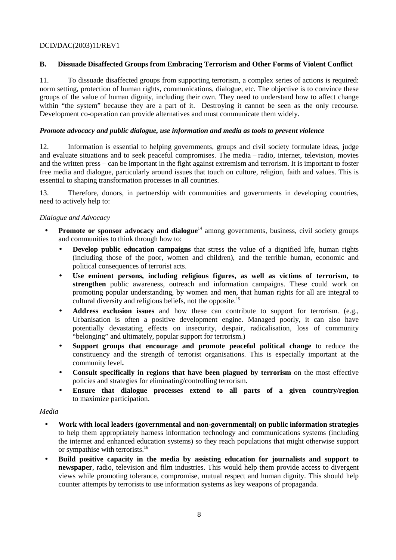#### **B. Dissuade Disaffected Groups from Embracing Terrorism and Other Forms of Violent Conflict**

11. To dissuade disaffected groups from supporting terrorism, a complex series of actions is required: norm setting, protection of human rights, communications, dialogue, etc. The objective is to convince these groups of the value of human dignity, including their own. They need to understand how to affect change within "the system" because they are a part of it. Destroying it cannot be seen as the only recourse. Development co-operation can provide alternatives and must communicate them widely.

#### *Promote advocacy and public dialogue, use information and media as tools to prevent violence*

12. Information is essential to helping governments, groups and civil society formulate ideas, judge and evaluate situations and to seek peaceful compromises. The media – radio, internet, television, movies and the written press – can be important in the fight against extremism and terrorism. It is important to foster free media and dialogue, particularly around issues that touch on culture, religion, faith and values. This is essential to shaping transformation processes in all countries.

13. Therefore, donors, in partnership with communities and governments in developing countries, need to actively help to:

#### *Dialogue and Advocacy*

- **Promote or sponsor advocacy and dialogue**<sup>14</sup> among governments, business, civil society groups and communities to think through how to:
	- **Develop public education campaigns** that stress the value of a dignified life, human rights (including those of the poor, women and children), and the terrible human, economic and political consequences of terrorist acts.
	- **Use eminent persons, including religious figures, as well as victims of terrorism, to strengthen** public awareness, outreach and information campaigns. These could work on promoting popular understanding, by women and men, that human rights for all are integral to cultural diversity and religious beliefs, not the opposite.<sup>15</sup>
	- **Address exclusion issues** and how these can contribute to support for terrorism. (e.g., Urbanisation is often a positive development engine. Managed poorly, it can also have potentially devastating effects on insecurity, despair, radicalisation, loss of community "belonging" and ultimately, popular support for terrorism.)
	- **Support groups that encourage and promote peaceful political change** to reduce the constituency and the strength of terrorist organisations. This is especially important at the community level**.**
	- **Consult specifically in regions that have been plagued by terrorism** on the most effective policies and strategies for eliminating/controlling terrorism.
	- **Ensure that dialogue processes extend to all parts of a given country/region** to maximize participation.

#### *Media*

- **Work with local leaders (governmental and non-governmental) on public information strategies** to help them appropriately harness information technology and communications systems (including the internet and enhanced education systems) so they reach populations that might otherwise support or sympathise with terrorists.16
- **Build positive capacity in the media by assisting education for journalists and support to newspaper**, radio, television and film industries. This would help them provide access to divergent views while promoting tolerance, compromise, mutual respect and human dignity. This should help counter attempts by terrorists to use information systems as key weapons of propaganda.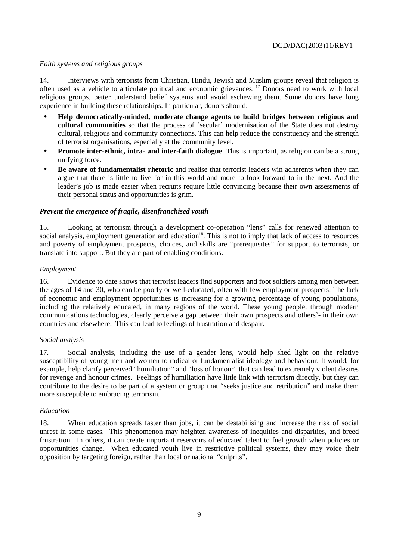#### *Faith systems and religious groups*

14. Interviews with terrorists from Christian, Hindu, Jewish and Muslim groups reveal that religion is often used as a vehicle to articulate political and economic grievances. 17 Donors need to work with local religious groups, better understand belief systems and avoid eschewing them. Some donors have long experience in building these relationships. In particular, donors should:

- **Help democratically-minded, moderate change agents to build bridges between religious and cultural communities** so that the process of 'secular' modernisation of the State does not destroy cultural, religious and community connections. This can help reduce the constituency and the strength of terrorist organisations, especially at the community level.
- **Promote inter-ethnic, intra- and inter-faith dialogue**. This is important, as religion can be a strong unifying force.
- **Be aware of fundamentalist rhetoric** and realise that terrorist leaders win adherents when they can argue that there is little to live for in this world and more to look forward to in the next. And the leader's job is made easier when recruits require little convincing because their own assessments of their personal status and opportunities is grim.

#### *Prevent the emergence of fragile, disenfranchised youth*

15. Looking at terrorism through a development co-operation "lens" calls for renewed attention to social analysis, employment generation and education<sup>18</sup>. This is not to imply that lack of access to resources and poverty of employment prospects, choices, and skills are "prerequisites" for support to terrorists, or translate into support. But they are part of enabling conditions.

#### *Employment*

16. Evidence to date shows that terrorist leaders find supporters and foot soldiers among men between the ages of 14 and 30, who can be poorly or well-educated, often with few employment prospects. The lack of economic and employment opportunities is increasing for a growing percentage of young populations, including the relatively educated, in many regions of the world. These young people, through modern communications technologies, clearly perceive a gap between their own prospects and others'- in their own countries and elsewhere. This can lead to feelings of frustration and despair.

#### *Social analysis*

17. Social analysis, including the use of a gender lens, would help shed light on the relative susceptibility of young men and women to radical or fundamentalist ideology and behaviour. It would, for example, help clarify perceived "humiliation" and "loss of honour" that can lead to extremely violent desires for revenge and honour crimes. Feelings of humiliation have little link with terrorism directly, but they can contribute to the desire to be part of a system or group that "seeks justice and retribution" and make them more susceptible to embracing terrorism.

#### *Education*

18. When education spreads faster than jobs, it can be destabilising and increase the risk of social unrest in some cases. This phenomenon may heighten awareness of inequities and disparities, and breed frustration. In others, it can create important reservoirs of educated talent to fuel growth when policies or opportunities change. When educated youth live in restrictive political systems, they may voice their opposition by targeting foreign, rather than local or national "culprits".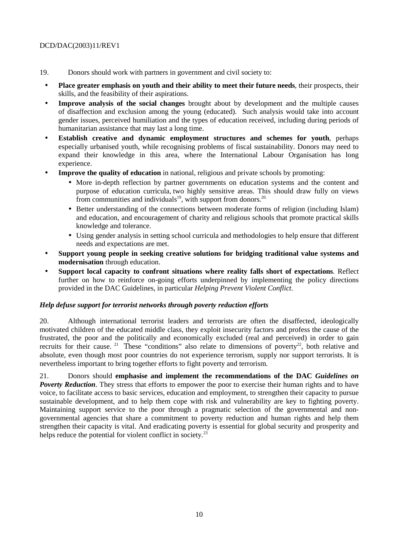- 19. Donors should work with partners in government and civil society to:
	- **Place greater emphasis on youth and their ability to meet their future needs**, their prospects, their skills, and the feasibility of their aspirations.
	- **Improve analysis of the social changes** brought about by development and the multiple causes of disaffection and exclusion among the young (educated). Such analysis would take into account gender issues, perceived humiliation and the types of education received, including during periods of humanitarian assistance that may last a long time.
	- **Establish creative and dynamic employment structures and schemes for youth**, perhaps especially urbanised youth, while recognising problems of fiscal sustainability. Donors may need to expand their knowledge in this area, where the International Labour Organisation has long experience.
	- **Improve the quality of education** in national, religious and private schools by promoting:
		- More in-depth reflection by partner governments on education systems and the content and purpose of education curricula, two highly sensitive areas. This should draw fully on views from communities and individuals<sup>19</sup>, with support from donors.<sup>20.</sup>
		- Better understanding of the connections between moderate forms of religion (including Islam) and education, and encouragement of charity and religious schools that promote practical skills knowledge and tolerance.
		- Using gender analysis in setting school curricula and methodologies to help ensure that different needs and expectations are met.
	- **Support young people in seeking creative solutions for bridging traditional value systems and modernisation** through education.
	- **Support local capacity to confront situations where reality falls short of expectations**. Reflect further on how to reinforce on-going efforts underpinned by implementing the policy directions provided in the DAC Guidelines, in particular *Helping Prevent Violent Conflict*.

#### *Help defuse support for terrorist networks through poverty reduction efforts*

20. Although international terrorist leaders and terrorists are often the disaffected, ideologically motivated children of the educated middle class, they exploit insecurity factors and profess the cause of the frustrated, the poor and the politically and economically excluded (real and perceived) in order to gain recruits for their cause. <sup>21</sup> These "conditions" also relate to dimensions of poverty<sup>22</sup>, both relative and absolute, even though most poor countries do not experience terrorism, supply nor support terrorists. It is nevertheless important to bring together efforts to fight poverty and terrorism.

21. Donors should **emphasise and implement the recommendations of the DAC** *Guidelines on Poverty Reduction*. They stress that efforts to empower the poor to exercise their human rights and to have voice, to facilitate access to basic services, education and employment, to strengthen their capacity to pursue sustainable development, and to help them cope with risk and vulnerability are key to fighting poverty. Maintaining support service to the poor through a pragmatic selection of the governmental and nongovernmental agencies that share a commitment to poverty reduction and human rights and help them strengthen their capacity is vital. And eradicating poverty is essential for global security and prosperity and helps reduce the potential for violent conflict in society. $^{23}$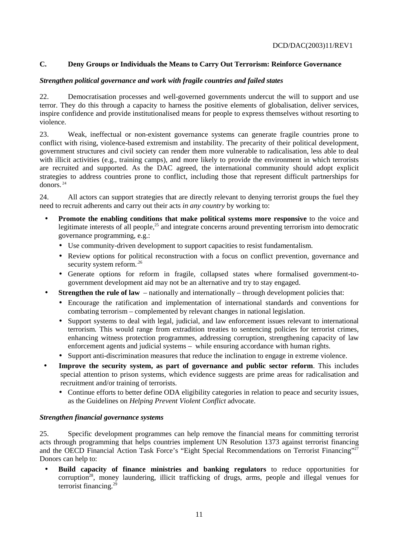### **C. Deny Groups or Individuals the Means to Carry Out Terrorism: Reinforce Governance**

#### *Strengthen political governance and work with fragile countries and failed states*

22. Democratisation processes and well-governed governments undercut the will to support and use terror. They do this through a capacity to harness the positive elements of globalisation, deliver services, inspire confidence and provide institutionalised means for people to express themselves without resorting to violence.

23. Weak, ineffectual or non-existent governance systems can generate fragile countries prone to conflict with rising, violence-based extremism and instability. The precarity of their political development, government structures and civil society can render them more vulnerable to radicalisation, less able to deal with illicit activities (e.g., training camps), and more likely to provide the environment in which terrorists are recruited and supported. As the DAC agreed, the international community should adopt explicit strategies to address countries prone to conflict, including those that represent difficult partnerships for donors. 24

24. All actors can support strategies that are directly relevant to denying terrorist groups the fuel they need to recruit adherents and carry out their acts *in any country* by working to:

- **Promote the enabling conditions that make political systems more responsive** to the voice and legitimate interests of all people,<sup>25</sup> and integrate concerns around preventing terrorism into democratic governance programming, e.g.:
	- Use community-driven development to support capacities to resist fundamentalism.
	- Review options for political reconstruction with a focus on conflict prevention, governance and security system reform.<sup>26</sup>
	- Generate options for reform in fragile, collapsed states where formalised government-togovernment development aid may not be an alternative and try to stay engaged.
- **Strengthen the rule of law** nationally and internationally through development policies that:
	- Encourage the ratification and implementation of international standards and conventions for combating terrorism – complemented by relevant changes in national legislation.
	- Support systems to deal with legal, judicial, and law enforcement issues relevant to international terrorism. This would range from extradition treaties to sentencing policies for terrorist crimes, enhancing witness protection programmes, addressing corruption, strengthening capacity of law enforcement agents and judicial systems – while ensuring accordance with human rights.
	- Support anti-discrimination measures that reduce the inclination to engage in extreme violence.
- **Improve the security system, as part of governance and public sector reform**. This includes special attention to prison systems, which evidence suggests are prime areas for radicalisation and recruitment and/or training of terrorists.
	- Continue efforts to better define ODA eligibility categories in relation to peace and security issues, as the Guidelines on *Helping Prevent Violent Conflict* advocate.

#### *Strengthen financial governance systems*

25. Specific development programmes can help remove the financial means for committing terrorist acts through programming that helps countries implement UN Resolution 1373 against terrorist financing and the OECD Financial Action Task Force's "Eight Special Recommendations on Terrorist Financing"<sup>27</sup> Donors can help to:

• **Build capacity of finance ministries and banking regulators** to reduce opportunities for corruption<sup>28</sup>, money laundering, illicit trafficking of drugs, arms, people and illegal venues for terrorist financing.<sup>2</sup>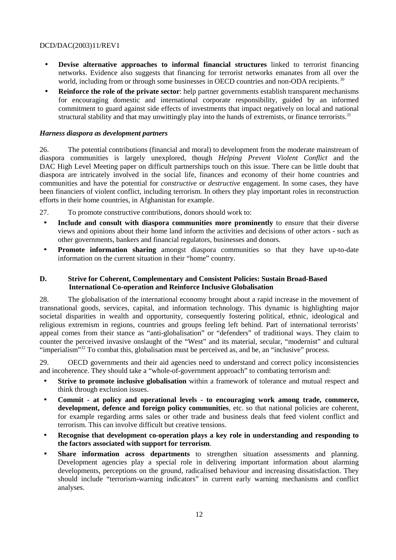- **Devise alternative approaches to informal financial structures** linked to terrorist financing networks. Evidence also suggests that financing for terrorist networks emanates from all over the world, including from or through some businesses in OECD countries and non-ODA recipients.<sup>30</sup>
- **Reinforce the role of the private sector**: help partner governments establish transparent mechanisms for encouraging domestic and international corporate responsibility, guided by an informed commitment to guard against side effects of investments that impact negatively on local and national structural stability and that may unwittingly play into the hands of extremists, or finance terrorists. $31$

#### *Harness diaspora as development partners*

26. The potential contributions (financial and moral) to development from the moderate mainstream of diaspora communities is largely unexplored, though *Helping Prevent Violent Conflict* and the DAC High Level Meeting paper on difficult partnerships touch on this issue. There can be little doubt that diaspora are intricately involved in the social life, finances and economy of their home countries and communities and have the potential for *constructive* or *destructive* engagement. In some cases, they have been financiers of violent conflict, including terrorism. In others they play important roles in reconstruction efforts in their home countries, in Afghanistan for example.

27. To promote constructive contributions, donors should work to:

- **Include and consult with diaspora communities more prominently** to ensure that their diverse views and opinions about their home land inform the activities and decisions of other actors - such as other governments, bankers and financial regulators, businesses and donors.
- **Promote information sharing** amongst diaspora communities so that they have up-to-date information on the current situation in their "home" country.

#### **D. Strive for Coherent, Complementary and Consistent Policies: Sustain Broad-Based International Co-operation and Reinforce Inclusive Globalisation**

28. The globalisation of the international economy brought about a rapid increase in the movement of transnational goods, services, capital, and information technology. This dynamic is highlighting major societal disparities in wealth and opportunity, consequently fostering political, ethnic, ideological and religious extremism in regions, countries and groups feeling left behind. Part of international terrorists' appeal comes from their stance as "anti-globalisation" or "defenders" of traditional ways. They claim to counter the perceived invasive onslaught of the "West" and its material, secular, "modernist" and cultural "imperialism"<sup>32</sup> To combat this, globalisation must be perceived as, and be, an "inclusive" process.

29. OECD governments and their aid agencies need to understand and correct policy inconsistencies and incoherence. They should take a "whole-of-government approach" to combating terrorism and:

- **Strive to promote inclusive globalisation** within a framework of tolerance and mutual respect and think through exclusion issues.
- **Commit at policy and operational levels to encouraging work among trade, commerce, development, defence and foreign policy communities**, etc. so that national policies are coherent, for example regarding arms sales or other trade and business deals that feed violent conflict and terrorism. This can involve difficult but creative tensions.
- **Recognise that development co-operation plays a key role in understanding and responding to the factors associated with support for terrorism**.
- **Share information across departments** to strengthen situation assessments and planning. Development agencies play a special role in delivering important information about alarming developments, perceptions on the ground, radicalised behaviour and increasing dissatisfaction. They should include "terrorism-warning indicators" in current early warning mechanisms and conflict analyses.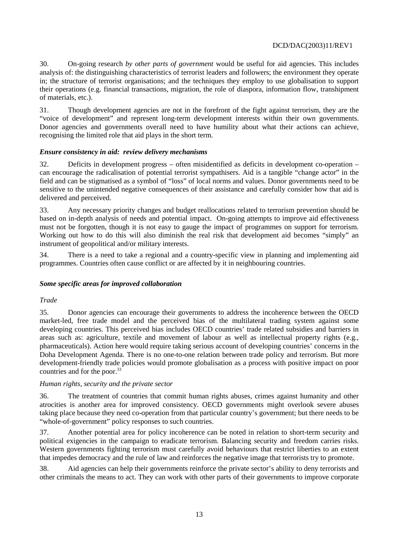30. On-going research *by other parts of government* would be useful for aid agencies. This includes analysis of: the distinguishing characteristics of terrorist leaders and followers; the environment they operate in; the structure of terrorist organisations; and the techniques they employ to use globalisation to support their operations (e.g. financial transactions, migration, the role of diaspora, information flow, transhipment of materials, etc.).

31. Though development agencies are not in the forefront of the fight against terrorism, they are the "voice of development" and represent long-term development interests within their own governments. Donor agencies and governments overall need to have humility about what their actions can achieve, recognising the limited role that aid plays in the short term.

#### *Ensure consistency in aid: review delivery mechanisms*

32. Deficits in development progress – often misidentified as deficits in development co-operation – can encourage the radicalisation of potential terrorist sympathisers. Aid is a tangible "change actor" in the field and can be stigmatised as a symbol of "loss" of local norms and values. Donor governments need to be sensitive to the unintended negative consequences of their assistance and carefully consider how that aid is delivered and perceived.

33. Any necessary priority changes and budget reallocations related to terrorism prevention should be based on in-depth analysis of needs and potential impact. On-going attempts to improve aid effectiveness must not be forgotten, though it is not easy to gauge the impact of programmes on support for terrorism. Working out how to do this will also diminish the real risk that development aid becomes "simply" an instrument of geopolitical and/or military interests.

34. There is a need to take a regional and a country-specific view in planning and implementing aid programmes. Countries often cause conflict or are affected by it in neighbouring countries.

#### *Some specific areas for improved collaboration*

#### *Trade*

35. Donor agencies can encourage their governments to address the incoherence between the OECD market-led, free trade model and the perceived bias of the multilateral trading system against some developing countries. This perceived bias includes OECD countries' trade related subsidies and barriers in areas such as: agriculture, textile and movement of labour as well as intellectual property rights (e.g., pharmaceuticals). Action here would require taking serious account of developing countries' concerns in the Doha Development Agenda. There is no one-to-one relation between trade policy and terrorism. But more development-friendly trade policies would promote globalisation as a process with positive impact on poor countries and for the poor.<sup>33</sup>

#### *Human rights, security and the private sector*

36. The treatment of countries that commit human rights abuses, crimes against humanity and other atrocities is another area for improved consistency. OECD governments might overlook severe abuses taking place because they need co-operation from that particular country's government; but there needs to be "whole-of-government" policy responses to such countries.

37. Another potential area for policy incoherence can be noted in relation to short-term security and political exigencies in the campaign to eradicate terrorism. Balancing security and freedom carries risks. Western governments fighting terrorism must carefully avoid behaviours that restrict liberties to an extent that impedes democracy and the rule of law and reinforces the negative image that terrorists try to promote.

38. Aid agencies can help their governments reinforce the private sector's ability to deny terrorists and other criminals the means to act. They can work with other parts of their governments to improve corporate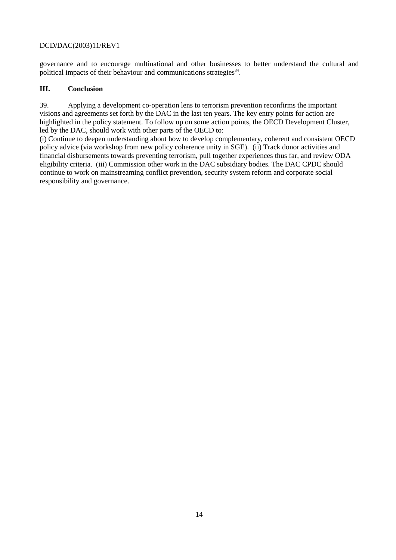governance and to encourage multinational and other businesses to better understand the cultural and political impacts of their behaviour and communications strategies $34$ .

#### **III. Conclusion**

39. Applying a development co-operation lens to terrorism prevention reconfirms the important visions and agreements set forth by the DAC in the last ten years. The key entry points for action are highlighted in the policy statement. To follow up on some action points, the OECD Development Cluster, led by the DAC, should work with other parts of the OECD to:

(i) Continue to deepen understanding about how to develop complementary, coherent and consistent OECD policy advice (via workshop from new policy coherence unity in SGE). (ii) Track donor activities and financial disbursements towards preventing terrorism, pull together experiences thus far, and review ODA eligibility criteria. (iii) Commission other work in the DAC subsidiary bodies. The DAC CPDC should continue to work on mainstreaming conflict prevention, security system reform and corporate social responsibility and governance.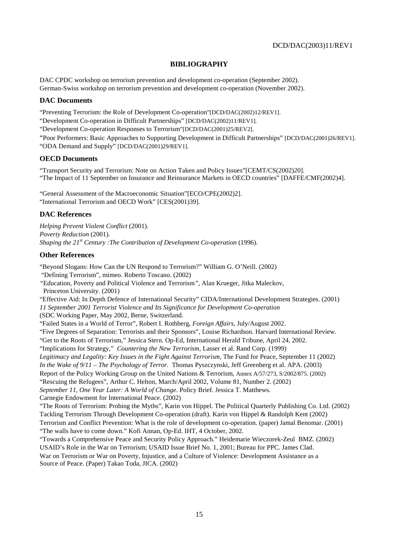#### **BIBLIOGRAPHY**

DAC CPDC workshop on terrorism prevention and development co-operation (September 2002). German-Swiss workshop on terrorism prevention and development co-operation (November 2002).

#### **DAC Documents**

"Preventing Terrorism: the Role of Development Co-operation"[DCD/DAC(2002)12/REV1].

"Development Co-operation in Difficult Partnerships" [DCD/DAC(2002)11/REV1].

"Development Co-operation Responses to Terrorism"[DCD/DAC(2001)25/REV2].

"Poor Performers: Basic Approaches to Supporting Development in Difficult Partnerships" [DCD/DAC(2001)26/REV1]. "ODA Demand and Supply" [DCD/DAC(2001)29/REV1].

#### **OECD Documents**

"Transport Security and Terrorism: Note on Action Taken and Policy Issues"[CEMT/CS(2002)20]. "The Impact of 11 September on Insurance and Reinsurance Markets in OECD countries" [DAFFE/CMF(2002)4].

"General Assessment of the Macroeconomic Situation"[ECO/CPE(2002)2]. "International Terrorism and OECD Work" [CES(2001)39].

#### **DAC References**

*Helping Prevent Violent Conflict* (2001). *Poverty Reduction* (2001). *Shaping the 21st Century :The Contribution of Development Co-operation* (1996).

#### **Other References**

"Beyond Slogans: How Can the UN Respond to Terrorism?" William G. O'Neill. (2002) "Defining Terrorism", mimeo. Roberto Toscano. (2002)

*"*Education, Poverty and Political Violence and Terrorism*"*, Alan Krueger, Jitka Maleckov, Princeton University. (2001)

"Effective Aid: In Depth Defence of International Security" CIDA/International Development Strategies. (2001) *11 September 2001 Terrorist Violence and Its Significance for Development Co-operation* (SDC Working Paper, May 2002, Berne, Switzerland.

"Failed States in a World of Terror", Robert I. Rothberg, *Foreign Affairs*, July/August 2002.

"Five Degrees of Separation: Terrorists and their Sponsors", Louise Richardson. Harvard International Review.

"Get to the Roots of Terrorism," Jessica Stern. Op-Ed, International Herald Tribune, April 24, 2002.

"Implications for Strategy," *Countering the New Terrorism*, Lasser et al. Rand Corp. (1999)

*Legitimacy and Legality: Key Issues in the Fight Against Terrorism*, The Fund for Peace, September 11 (2002)

*In the Wake of 9/11* – *The Psychology of Terror.* Thomas Pyszczynski, Jeff Greenberg et al. APA. (2003)

Report of the Policy Working Group on the United Nations & Terrorism, Annex A/57/273, S/2002/875. (2002)

"Rescuing the Refugees", Arthur C. Helton, March/April 2002, Volume 81, Number 2. (2002)

*September 11, One Year Later: A World of Change*. Policy Brief. Jessica T. Matthews.

Carnegie Endowment for International Peace. (2002)

"The Roots of Terrorism: Probing the Myths", Karin von Hippel. The Political Quarterly Publishing Co. Ltd. (2002) Tackling Terrorism Through Development Co-operation (draft). Karin von Hippel & Randolph Kent (2002) Terrorism and Conflict Prevention: What is the role of development co-operation. (paper) Jamal Benomar. (2001) "The walls have to come down." Kofi Annan, Op-Ed. IHT, 4 October, 2002.

"Towards a Comprehensive Peace and Security Policy Approach." Heidemarie Wieczorek-Zeul BMZ. (2002)

USAID's Role in the War on Terrorism; USAID Issue Brief No. 1, 2001; Bureau for PPC. James Clad. War on Terrorism or War on Poverty, Injustice, and a Culture of Violence: Development Assistance as a Source of Peace. (Paper) Takao Toda, JICA. (2002)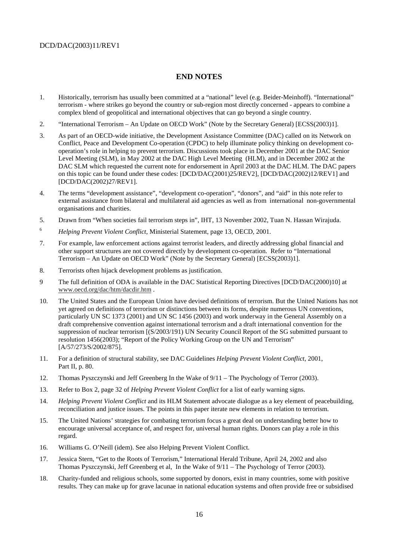#### **END NOTES**

- 1. Historically, terrorism has usually been committed at a "national" level (e.g. Beider-Meinhoff). "International" terrorism - where strikes go beyond the country or sub-region most directly concerned - appears to combine a complex blend of geopolitical and international objectives that can go beyond a single country.
- 2. "International Terrorism An Update on OECD Work" (Note by the Secretary General) [ECSS(2003)1].
- 3. As part of an OECD-wide initiative, the Development Assistance Committee (DAC) called on its Network on Conflict, Peace and Development Co-operation (CPDC) to help illuminate policy thinking on development cooperation's role in helping to prevent terrorism. Discussions took place in December 2001 at the DAC Senior Level Meeting (SLM), in May 2002 at the DAC High Level Meeting (HLM), and in December 2002 at the DAC SLM which requested the current note for endorsement in April 2003 at the DAC HLM. The DAC papers on this topic can be found under these codes: [DCD/DAC(2001)25/REV2], [DCD/DAC(2002)12/REV1] and [DCD/DAC(2002)27/REV1].
- 4. The terms "development assistance", "development co-operation", "donors", and "aid" in this note refer to external assistance from bilateral and multilateral aid agencies as well as from international non-governmental organisations and charities.
- 5. Drawn from "When societies fail terrorism steps in", IHT, 13 November 2002, Tuan N. Hassan Wirajuda.
- 6 *Helping Prevent Violent Conflict*, Ministerial Statement, page 13, OECD, 2001.
- 7. For example, law enforcement actions against terrorist leaders, and directly addressing global financial and other support structures are not covered directly by development co-operation. Refer to "International Terrorism – An Update on OECD Work" (Note by the Secretary General) [ECSS(2003)1].
- 8. Terrorists often hijack development problems as justification.
- 9 The full definition of ODA is available in the DAC Statistical Reporting Directives [DCD/DAC(2000)10] at www.oecd.org/dac/htm/dacdir.htm .
- 10. The United States and the European Union have devised definitions of terrorism. But the United Nations has not yet agreed on definitions of terrorism or distinctions between its forms, despite numerous UN conventions, particularly UN SC 1373 (2001) and UN SC 1456 (2003) and work underway in the General Assembly on a draft comprehensive convention against international terrorism and a draft international convention for the suppression of nuclear terrorism [(S/2003/191) UN Security Council Report of the SG submitted pursuant to resolution 1456(2003); "Report of the Policy Working Group on the UN and Terrorism" [A/57/273/S/2002/875].
- 11. For a definition of structural stability, see DAC Guidelines *Helping Prevent Violent Conflict*, 2001, Part II, p. 80.
- 12. Thomas Pyszczynski and Jeff Greenberg In the Wake of 9/11 The Psychology of Terror (2003).
- 13. Refer to Box 2, page 32 of *Helping Prevent Violent Conflict* for a list of early warning signs.
- 14. *Helping Prevent Violent Conflict* and its HLM Statement advocate dialogue as a key element of peacebuilding, reconciliation and justice issues. The points in this paper iterate new elements in relation to terrorism.
- 15. The United Nations' strategies for combating terrorism focus a great deal on understanding better how to encourage universal acceptance of, and respect for, universal human rights. Donors can play a role in this regard.
- 16. Williams G. O'Neill (idem). See also Helping Prevent Violent Conflict.
- 17. Jessica Stern, "Get to the Roots of Terrorism," International Herald Tribune, April 24, 2002 and also Thomas Pyszczynski, Jeff Greenberg et al, In the Wake of 9/11 – The Psychology of Terror (2003).
- 18. Charity-funded and religious schools, some supported by donors, exist in many countries, some with positive results. They can make up for grave lacunae in national education systems and often provide free or subsidised